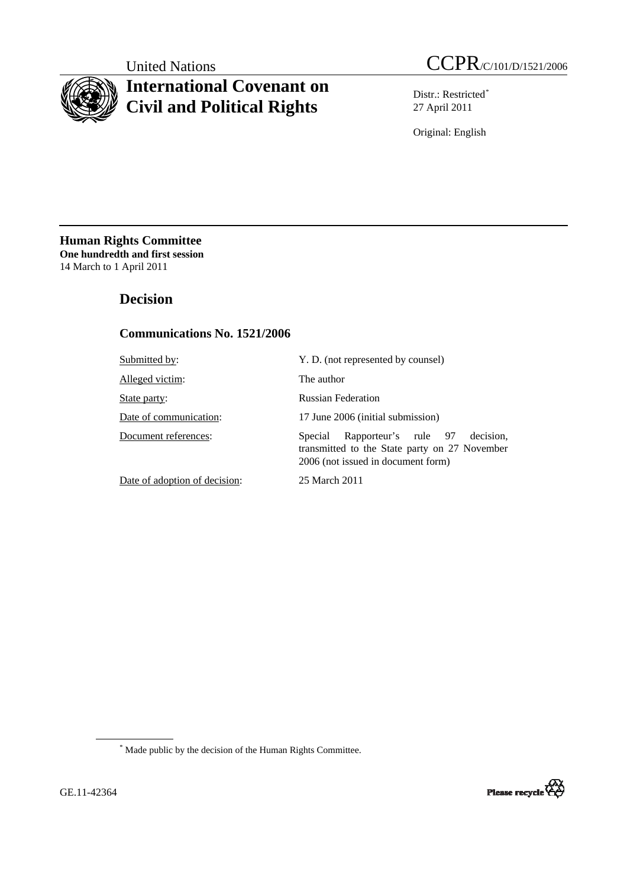

# **International Covenant on Civil and Political Rights**

United Nations CCPR/C/101/D/1521/2006

Distr.: Restricted[\\*](#page-0-0) 27 April 2011

Original: English

**Human Rights Committee One hundredth and first session** 14 March to 1 April 2011

# **Decision**

# **Communications No. 1521/2006**

| Submitted by:                 | Y. D. (not represented by counsel)                                                                                               |
|-------------------------------|----------------------------------------------------------------------------------------------------------------------------------|
| Alleged victim:               | The author                                                                                                                       |
| State party:                  | <b>Russian Federation</b>                                                                                                        |
| Date of communication:        | 17 June 2006 (initial submission)                                                                                                |
| Document references:          | Rapporteur's rule 97 decision,<br>Special<br>transmitted to the State party on 27 November<br>2006 (not issued in document form) |
| Date of adoption of decision: | 25 March 2011                                                                                                                    |

<span id="page-0-0"></span>\* Made public by the decision of the Human Rights Committee.

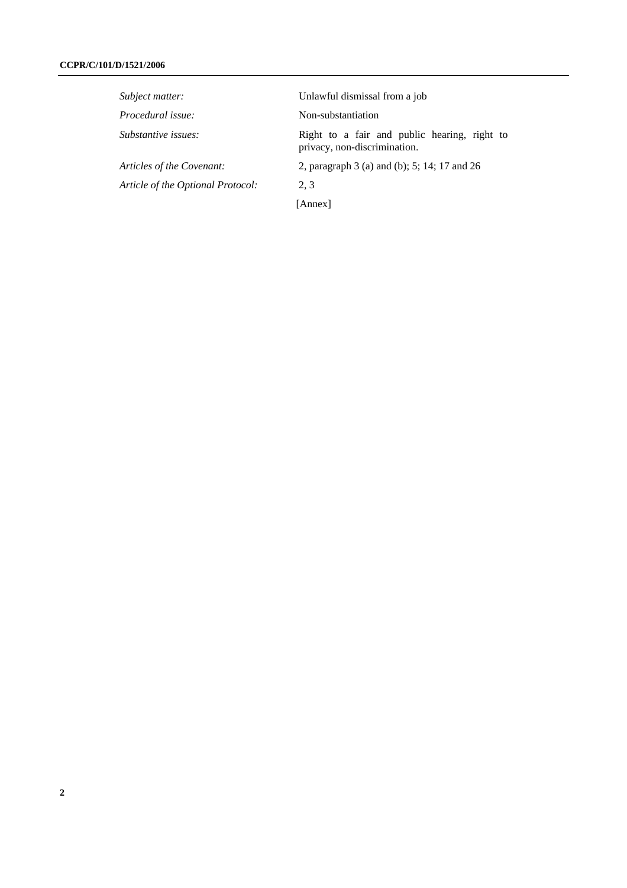| Subject matter:                   | Unlawful dismissal from a job                                                |
|-----------------------------------|------------------------------------------------------------------------------|
| Procedural issue:                 | Non-substantiation                                                           |
| Substantive issues:               | Right to a fair and public hearing, right to<br>privacy, non-discrimination. |
| Articles of the Covenant:         | 2, paragraph 3 (a) and (b); 5; 14; 17 and 26                                 |
| Article of the Optional Protocol: | 2.3                                                                          |
|                                   | [Annex]                                                                      |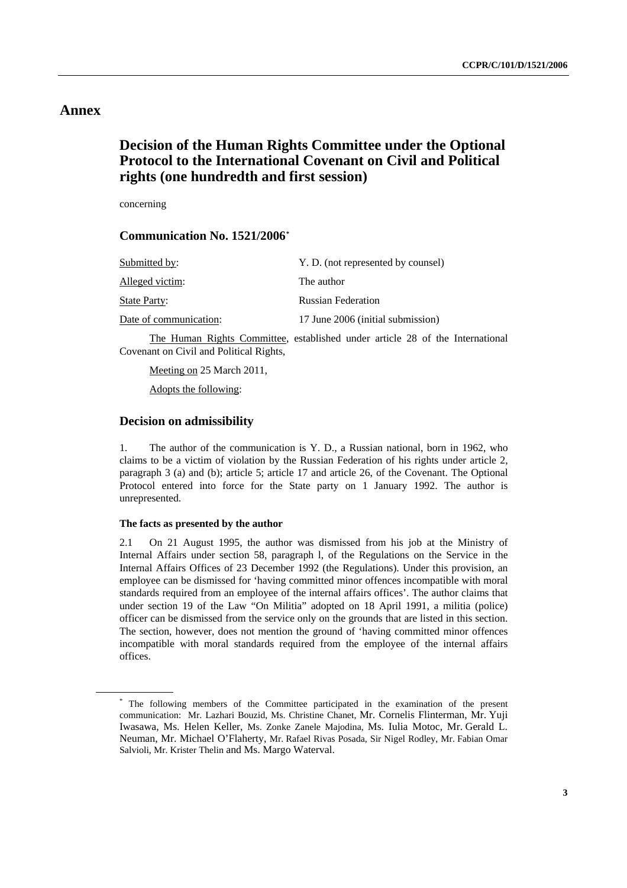## **Annex**

# **Decision of the Human Rights Committee under the Optional Protocol to the International Covenant on Civil and Political rights (one hundredth and first session)**

concerning

## **Communication No. 1521/2006[\\*](#page-2-0)**

| Submitted by:          | Y. D. (not represented by counsel) |
|------------------------|------------------------------------|
| Alleged victim:        | The author                         |
| <b>State Party:</b>    | <b>Russian Federation</b>          |
| Date of communication: | 17 June 2006 (initial submission)  |
|                        |                                    |

 The Human Rights Committee, established under article 28 of the International Covenant on Civil and Political Rights,

 Meeting on 25 March 2011, Adopts the following:

## **Decision on admissibility**

1. The author of the communication is Y. D., a Russian national, born in 1962, who claims to be a victim of violation by the Russian Federation of his rights under article 2, paragraph 3 (a) and (b); article 5; article 17 and article 26, of the Covenant. The Optional Protocol entered into force for the State party on 1 January 1992. The author is unrepresented.

## **The facts as presented by the author**

2.1 On 21 August 1995, the author was dismissed from his job at the Ministry of Internal Affairs under section 58, paragraph l, of the Regulations on the Service in the Internal Affairs Offices of 23 December 1992 (the Regulations). Under this provision, an employee can be dismissed for 'having committed minor offences incompatible with moral standards required from an employee of the internal affairs offices'. The author claims that under section 19 of the Law "On Militia" adopted on 18 April 1991, a militia (police) officer can be dismissed from the service only on the grounds that are listed in this section. The section, however, does not mention the ground of 'having committed minor offences incompatible with moral standards required from the employee of the internal affairs offices.

<span id="page-2-0"></span><sup>\*</sup> The following members of the Committee participated in the examination of the present communication: Mr. Lazhari Bouzid, Ms. Christine Chanet, Mr. Cornelis Flinterman, Mr. Yuji Iwasawa, Ms. Helen Keller, Ms. Zonke Zanele Majodina, Ms. Iulia Motoc, Mr. Gerald L. Neuman, Mr. Michael O'Flaherty, Mr. Rafael Rivas Posada, Sir Nigel Rodley, Mr. Fabian Omar Salvioli, Mr. Krister Thelin and Ms. Margo Waterval.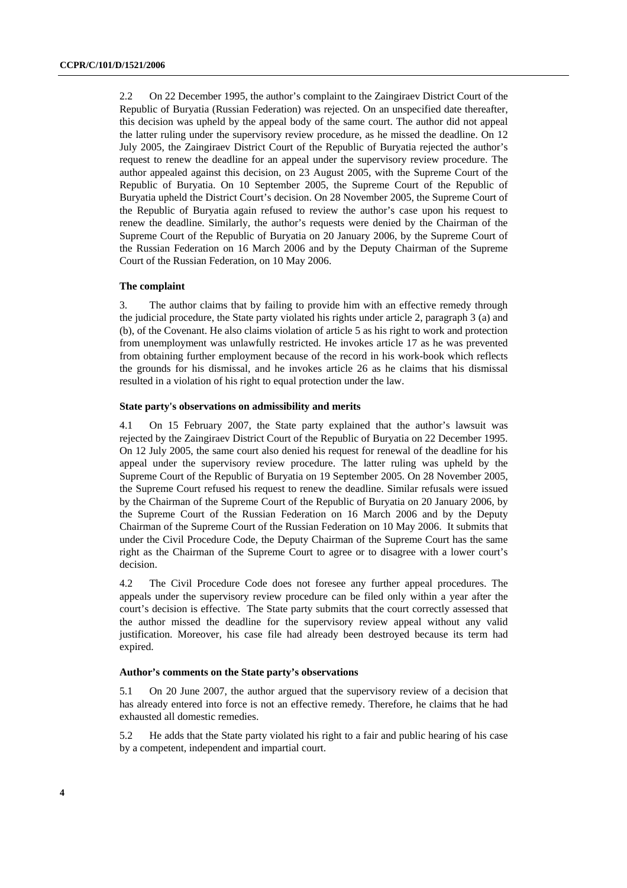2.2 On 22 December 1995, the author's complaint to the Zaingiraev District Court of the Republic of Buryatia (Russian Federation) was rejected. On an unspecified date thereafter, this decision was upheld by the appeal body of the same court. The author did not appeal the latter ruling under the supervisory review procedure, as he missed the deadline. On 12 July 2005, the Zaingiraev District Court of the Republic of Buryatia rejected the author's request to renew the deadline for an appeal under the supervisory review procedure. The author appealed against this decision, on 23 August 2005, with the Supreme Court of the Republic of Buryatia. On 10 September 2005, the Supreme Court of the Republic of Buryatia upheld the District Court's decision. On 28 November 2005, the Supreme Court of the Republic of Buryatia again refused to review the author's case upon his request to renew the deadline. Similarly, the author's requests were denied by the Chairman of the Supreme Court of the Republic of Buryatia on 20 January 2006, by the Supreme Court of the Russian Federation on 16 March 2006 and by the Deputy Chairman of the Supreme Court of the Russian Federation, on 10 May 2006.

#### **The complaint**

3. The author claims that by failing to provide him with an effective remedy through the judicial procedure, the State party violated his rights under article 2, paragraph 3 (a) and (b), of the Covenant. He also claims violation of article 5 as his right to work and protection from unemployment was unlawfully restricted. He invokes article 17 as he was prevented from obtaining further employment because of the record in his work-book which reflects the grounds for his dismissal, and he invokes article 26 as he claims that his dismissal resulted in a violation of his right to equal protection under the law.

#### **State party's observations on admissibility and merits**

4.1 On 15 February 2007, the State party explained that the author's lawsuit was rejected by the Zaingiraev District Court of the Republic of Buryatia on 22 December 1995. On 12 July 2005, the same court also denied his request for renewal of the deadline for his appeal under the supervisory review procedure. The latter ruling was upheld by the Supreme Court of the Republic of Buryatia on 19 September 2005. On 28 November 2005, the Supreme Court refused his request to renew the deadline. Similar refusals were issued by the Chairman of the Supreme Court of the Republic of Buryatia on 20 January 2006, by the Supreme Court of the Russian Federation on 16 March 2006 and by the Deputy Chairman of the Supreme Court of the Russian Federation on 10 May 2006. It submits that under the Civil Procedure Code, the Deputy Chairman of the Supreme Court has the same right as the Chairman of the Supreme Court to agree or to disagree with a lower court's decision.

4.2 The Civil Procedure Code does not foresee any further appeal procedures. The appeals under the supervisory review procedure can be filed only within a year after the court's decision is effective. The State party submits that the court correctly assessed that the author missed the deadline for the supervisory review appeal without any valid justification. Moreover, his case file had already been destroyed because its term had expired.

### **Author's comments on the State party's observations**

5.1 On 20 June 2007, the author argued that the supervisory review of a decision that has already entered into force is not an effective remedy. Therefore, he claims that he had exhausted all domestic remedies.

5.2 He adds that the State party violated his right to a fair and public hearing of his case by a competent, independent and impartial court.